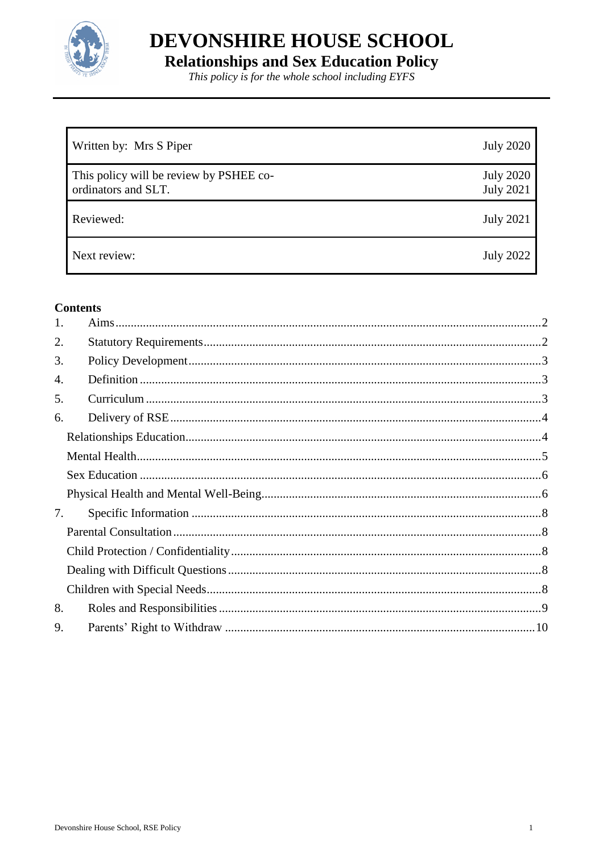

DEVONSHIRE HOUSE SCHOOL **Relationships and Sex Education Policy**<br>This policy is for the whole school including EYFS

| Written by: Mrs S Piper                                        | <b>July 2020</b>                     |
|----------------------------------------------------------------|--------------------------------------|
| This policy will be review by PSHEE co-<br>ordinators and SLT. | <b>July 2020</b><br><b>July 2021</b> |
| Reviewed:                                                      | <b>July 2021</b>                     |
| Next review:                                                   | <b>July 2022</b>                     |

### **Contents**

| 1. |  |
|----|--|
| 2. |  |
| 3. |  |
| 4. |  |
| 5. |  |
| 6. |  |
|    |  |
|    |  |
|    |  |
|    |  |
| 7. |  |
|    |  |
|    |  |
|    |  |
|    |  |
| 8. |  |
| 9. |  |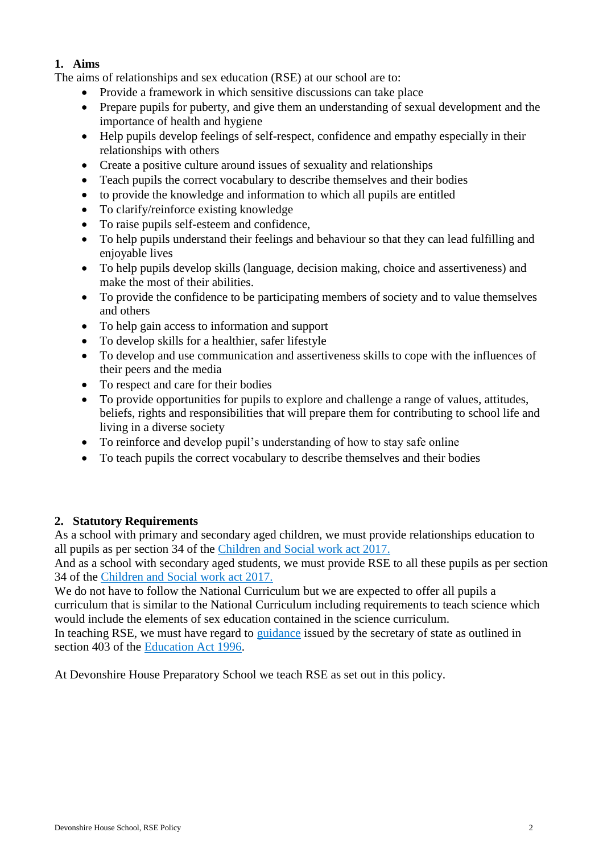## <span id="page-1-0"></span>**1. Aims**

The aims of relationships and sex education (RSE) at our school are to:

- Provide a framework in which sensitive discussions can take place
- Prepare pupils for puberty, and give them an understanding of sexual development and the importance of health and hygiene
- Help pupils develop feelings of self-respect, confidence and empathy especially in their relationships with others
- Create a positive culture around issues of sexuality and relationships
- Teach pupils the correct vocabulary to describe themselves and their bodies
- to provide the knowledge and information to which all pupils are entitled
- To clarify/reinforce existing knowledge
- To raise pupils self-esteem and confidence,
- To help pupils understand their feelings and behaviour so that they can lead fulfilling and enjoyable lives
- To help pupils develop skills (language, decision making, choice and assertiveness) and make the most of their abilities.
- To provide the confidence to be participating members of society and to value themselves and others
- To help gain access to information and support
- To develop skills for a healthier, safer lifestyle
- To develop and use communication and assertiveness skills to cope with the influences of their peers and the media
- To respect and care for their bodies
- To provide opportunities for pupils to explore and challenge a range of values, attitudes, beliefs, rights and responsibilities that will prepare them for contributing to school life and living in a diverse society
- To reinforce and develop pupil's understanding of how to stay safe online
- To teach pupils the correct vocabulary to describe themselves and their bodies

## <span id="page-1-1"></span>**2. Statutory Requirements**

As a school with primary and secondary aged children, we must provide relationships education to all pupils as per section 34 of the [Children and Social work act 2017.](http://www.legislation.gov.uk/ukpga/2017/16/section/34/enacted)

And as a school with secondary aged students, we must provide RSE to all these pupils as per section 34 of the [Children and Social work act 2017.](http://www.legislation.gov.uk/ukpga/2017/16/section/34/enacted)

We do not have to follow the National Curriculum but we are expected to offer all pupils a curriculum that is similar to the National Curriculum including requirements to teach science which would include the elements of sex education contained in the science curriculum.

In teaching RSE, we must have regard to [guidance](https://www.gov.uk/government/consultations/relationships-and-sex-education-and-health-education) issued by the secretary of state as outlined in section 403 of the [Education Act 1996.](http://www.legislation.gov.uk/ukpga/1996/56/contents)

At Devonshire House Preparatory School we teach RSE as set out in this policy.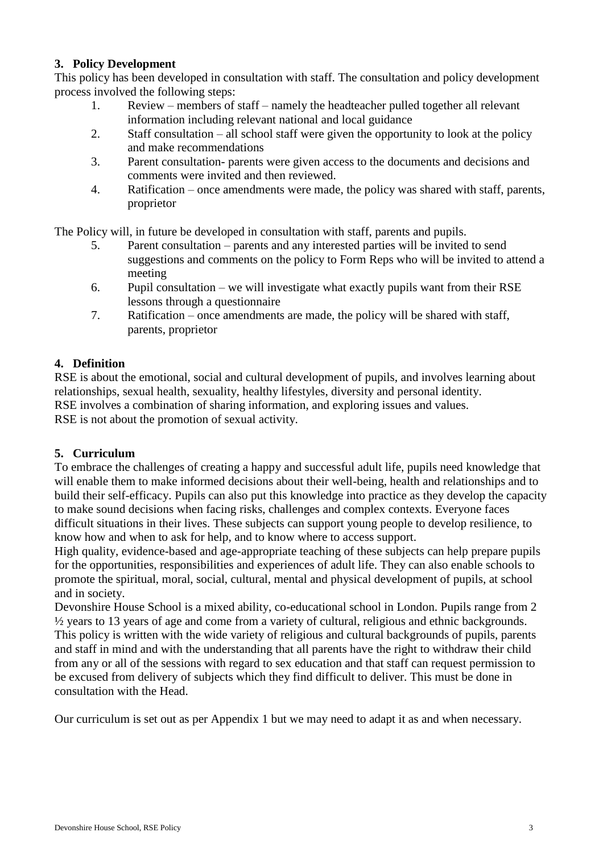### <span id="page-2-0"></span>**3. Policy Development**

This policy has been developed in consultation with staff. The consultation and policy development process involved the following steps:

- 1. Review members of staff namely the headteacher pulled together all relevant information including relevant national and local guidance
- 2. Staff consultation all school staff were given the opportunity to look at the policy and make recommendations
- 3. Parent consultation- parents were given access to the documents and decisions and comments were invited and then reviewed.
- 4. Ratification once amendments were made, the policy was shared with staff, parents, proprietor

The Policy will, in future be developed in consultation with staff, parents and pupils.

- 5. Parent consultation parents and any interested parties will be invited to send suggestions and comments on the policy to Form Reps who will be invited to attend a meeting
- 6. Pupil consultation we will investigate what exactly pupils want from their RSE lessons through a questionnaire
- 7. Ratification once amendments are made, the policy will be shared with staff, parents, proprietor

## <span id="page-2-1"></span>**4. Definition**

RSE is about the emotional, social and cultural development of pupils, and involves learning about relationships, sexual health, sexuality, healthy lifestyles, diversity and personal identity. RSE involves a combination of sharing information, and exploring issues and values. RSE is not about the promotion of sexual activity.

## <span id="page-2-2"></span>**5. Curriculum**

To embrace the challenges of creating a happy and successful adult life, pupils need knowledge that will enable them to make informed decisions about their well-being, health and relationships and to build their self-efficacy. Pupils can also put this knowledge into practice as they develop the capacity to make sound decisions when facing risks, challenges and complex contexts. Everyone faces difficult situations in their lives. These subjects can support young people to develop resilience, to know how and when to ask for help, and to know where to access support.

High quality, evidence-based and age-appropriate teaching of these subjects can help prepare pupils for the opportunities, responsibilities and experiences of adult life. They can also enable schools to promote the spiritual, moral, social, cultural, mental and physical development of pupils, at school and in society.

Devonshire House School is a mixed ability, co-educational school in London. Pupils range from 2 ½ years to 13 years of age and come from a variety of cultural, religious and ethnic backgrounds. This policy is written with the wide variety of religious and cultural backgrounds of pupils, parents and staff in mind and with the understanding that all parents have the right to withdraw their child from any or all of the sessions with regard to sex education and that staff can request permission to be excused from delivery of subjects which they find difficult to deliver. This must be done in consultation with the Head.

Our curriculum is set out as per Appendix 1 but we may need to adapt it as and when necessary.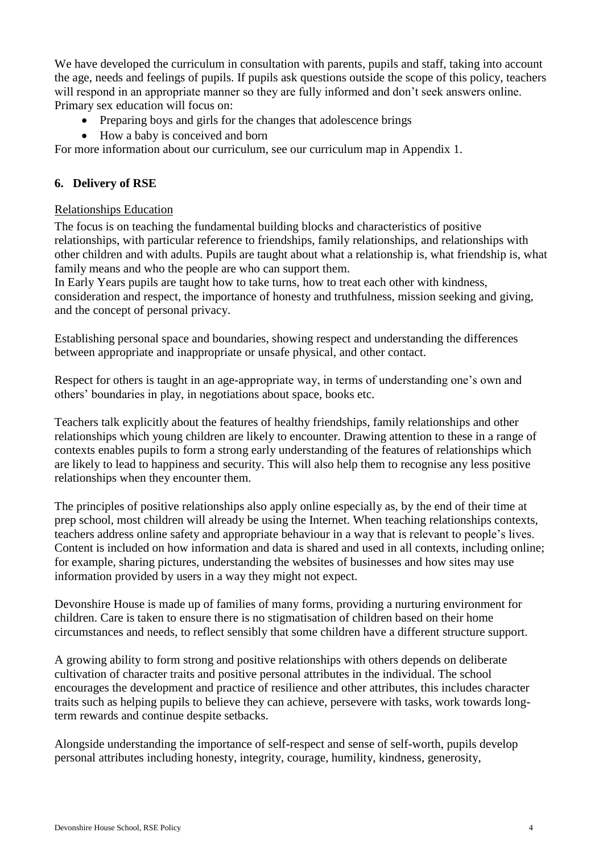We have developed the curriculum in consultation with parents, pupils and staff, taking into account the age, needs and feelings of pupils. If pupils ask questions outside the scope of this policy, teachers will respond in an appropriate manner so they are fully informed and don't seek answers online. Primary sex education will focus on:

- Preparing boys and girls for the changes that adolescence brings
- How a baby is conceived and born

For more information about our curriculum, see our curriculum map in Appendix 1.

## <span id="page-3-0"></span>**6. Delivery of RSE**

### <span id="page-3-1"></span>Relationships Education

The focus is on teaching the fundamental building blocks and characteristics of positive relationships, with particular reference to friendships, family relationships, and relationships with other children and with adults. Pupils are taught about what a relationship is, what friendship is, what family means and who the people are who can support them.

In Early Years pupils are taught how to take turns, how to treat each other with kindness, consideration and respect, the importance of honesty and truthfulness, mission seeking and giving, and the concept of personal privacy.

Establishing personal space and boundaries, showing respect and understanding the differences between appropriate and inappropriate or unsafe physical, and other contact.

Respect for others is taught in an age-appropriate way, in terms of understanding one's own and others' boundaries in play, in negotiations about space, books etc.

Teachers talk explicitly about the features of healthy friendships, family relationships and other relationships which young children are likely to encounter. Drawing attention to these in a range of contexts enables pupils to form a strong early understanding of the features of relationships which are likely to lead to happiness and security. This will also help them to recognise any less positive relationships when they encounter them.

The principles of positive relationships also apply online especially as, by the end of their time at prep school, most children will already be using the Internet. When teaching relationships contexts, teachers address online safety and appropriate behaviour in a way that is relevant to people's lives. Content is included on how information and data is shared and used in all contexts, including online; for example, sharing pictures, understanding the websites of businesses and how sites may use information provided by users in a way they might not expect.

Devonshire House is made up of families of many forms, providing a nurturing environment for children. Care is taken to ensure there is no stigmatisation of children based on their home circumstances and needs, to reflect sensibly that some children have a different structure support.

A growing ability to form strong and positive relationships with others depends on deliberate cultivation of character traits and positive personal attributes in the individual. The school encourages the development and practice of resilience and other attributes, this includes character traits such as helping pupils to believe they can achieve, persevere with tasks, work towards longterm rewards and continue despite setbacks.

Alongside understanding the importance of self-respect and sense of self-worth, pupils develop personal attributes including honesty, integrity, courage, humility, kindness, generosity,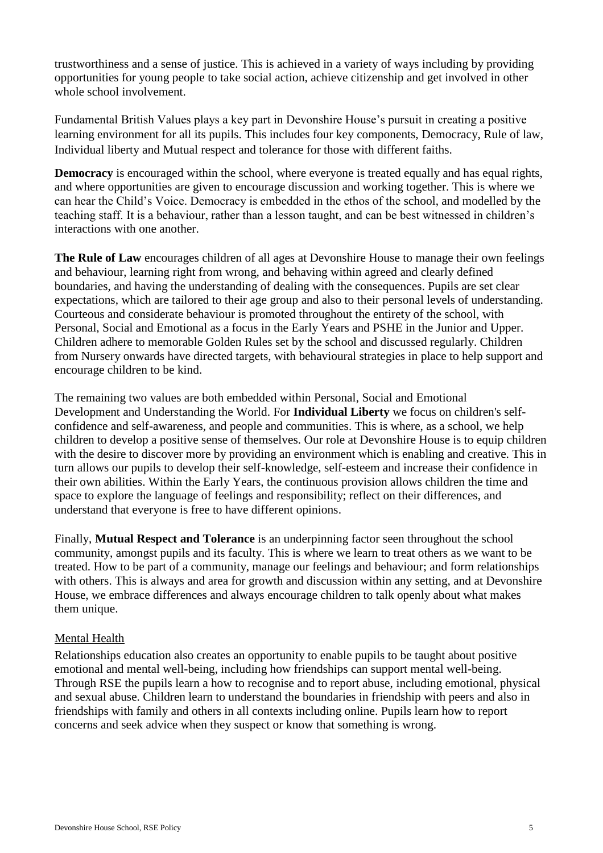trustworthiness and a sense of justice. This is achieved in a variety of ways including by providing opportunities for young people to take social action, achieve citizenship and get involved in other whole school involvement.

Fundamental British Values plays a key part in Devonshire House's pursuit in creating a positive learning environment for all its pupils. This includes four key components, Democracy, Rule of law, Individual liberty and Mutual respect and tolerance for those with different faiths.

**Democracy** is encouraged within the school, where everyone is treated equally and has equal rights, and where opportunities are given to encourage discussion and working together. This is where we can hear the Child's Voice. Democracy is embedded in the ethos of the school, and modelled by the teaching staff. It is a behaviour, rather than a lesson taught, and can be best witnessed in children's interactions with one another.

**The Rule of Law** encourages children of all ages at Devonshire House to manage their own feelings and behaviour, learning right from wrong, and behaving within agreed and clearly defined boundaries, and having the understanding of dealing with the consequences. Pupils are set clear expectations, which are tailored to their age group and also to their personal levels of understanding. Courteous and considerate behaviour is promoted throughout the entirety of the school, with Personal, Social and Emotional as a focus in the Early Years and PSHE in the Junior and Upper. Children adhere to memorable Golden Rules set by the school and discussed regularly. Children from Nursery onwards have directed targets, with behavioural strategies in place to help support and encourage children to be kind.

The remaining two values are both embedded within Personal, Social and Emotional Development and Understanding the World. For **Individual Liberty** we focus on children's selfconfidence and self-awareness, and people and communities. This is where, as a school, we help children to develop a positive sense of themselves. Our role at Devonshire House is to equip children with the desire to discover more by providing an environment which is enabling and creative. This in turn allows our pupils to develop their self-knowledge, self-esteem and increase their confidence in their own abilities. Within the Early Years, the continuous provision allows children the time and space to explore the language of feelings and responsibility; reflect on their differences, and understand that everyone is free to have different opinions.

Finally, **Mutual Respect and Tolerance** is an underpinning factor seen throughout the school community, amongst pupils and its faculty. This is where we learn to treat others as we want to be treated. How to be part of a community, manage our feelings and behaviour; and form relationships with others. This is always and area for growth and discussion within any setting, and at Devonshire House, we embrace differences and always encourage children to talk openly about what makes them unique.

## <span id="page-4-0"></span>Mental Health

Relationships education also creates an opportunity to enable pupils to be taught about positive emotional and mental well-being, including how friendships can support mental well-being. Through RSE the pupils learn a how to recognise and to report abuse, including emotional, physical and sexual abuse. Children learn to understand the boundaries in friendship with peers and also in friendships with family and others in all contexts including online. Pupils learn how to report concerns and seek advice when they suspect or know that something is wrong.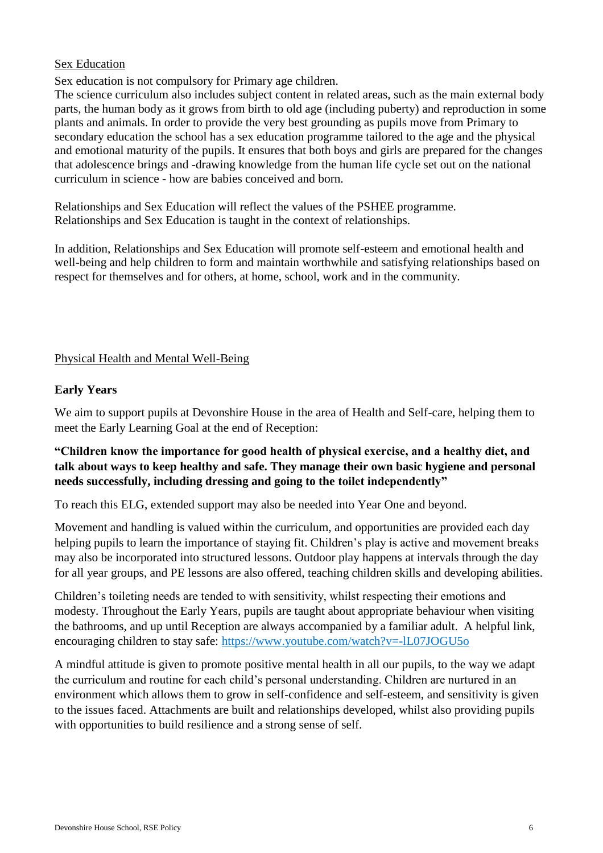### <span id="page-5-0"></span>Sex Education

Sex education is not compulsory for Primary age children.

The science curriculum also includes subject content in related areas, such as the main external body parts, the human body as it grows from birth to old age (including puberty) and reproduction in some plants and animals. In order to provide the very best grounding as pupils move from Primary to secondary education the school has a sex education programme tailored to the age and the physical and emotional maturity of the pupils. It ensures that both boys and girls are prepared for the changes that adolescence brings and -drawing knowledge from the human life cycle set out on the national curriculum in science - how are babies conceived and born.

Relationships and Sex Education will reflect the values of the PSHEE programme. Relationships and Sex Education is taught in the context of relationships.

In addition, Relationships and Sex Education will promote self-esteem and emotional health and well-being and help children to form and maintain worthwhile and satisfying relationships based on respect for themselves and for others, at home, school, work and in the community.

### <span id="page-5-1"></span>Physical Health and Mental Well-Being

### **Early Years**

We aim to support pupils at Devonshire House in the area of Health and Self-care, helping them to meet the Early Learning Goal at the end of Reception:

## **"Children know the importance for good health of physical exercise, and a healthy diet, and talk about ways to keep healthy and safe. They manage their own basic hygiene and personal needs successfully, including dressing and going to the toilet independently"**

To reach this ELG, extended support may also be needed into Year One and beyond.

Movement and handling is valued within the curriculum, and opportunities are provided each day helping pupils to learn the importance of staying fit. Children's play is active and movement breaks may also be incorporated into structured lessons. Outdoor play happens at intervals through the day for all year groups, and PE lessons are also offered, teaching children skills and developing abilities.

Children's toileting needs are tended to with sensitivity, whilst respecting their emotions and modesty. Throughout the Early Years, pupils are taught about appropriate behaviour when visiting the bathrooms, and up until Reception are always accompanied by a familiar adult. A helpful link, encouraging children to stay safe:<https://www.youtube.com/watch?v=-lL07JOGU5o>

A mindful attitude is given to promote positive mental health in all our pupils, to the way we adapt the curriculum and routine for each child's personal understanding. Children are nurtured in an environment which allows them to grow in self-confidence and self-esteem, and sensitivity is given to the issues faced. Attachments are built and relationships developed, whilst also providing pupils with opportunities to build resilience and a strong sense of self.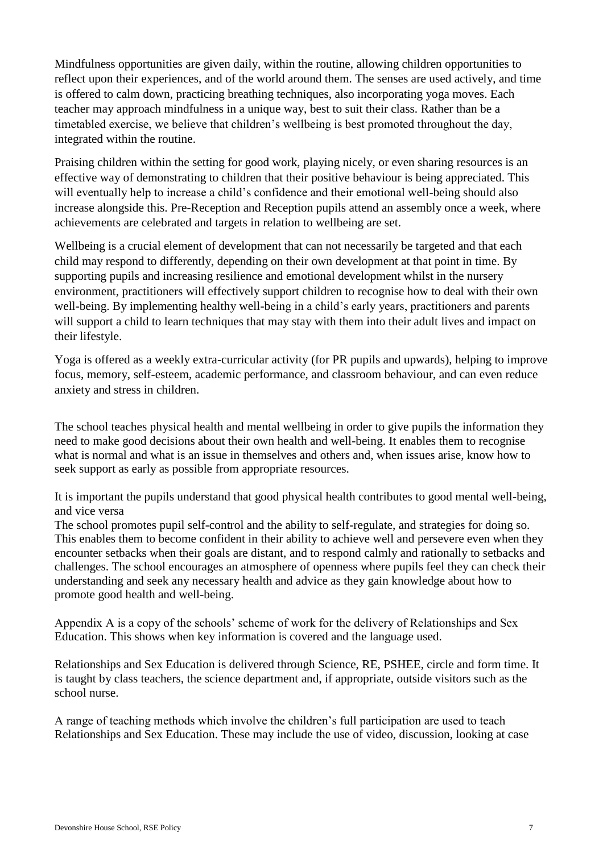Mindfulness opportunities are given daily, within the routine, allowing children opportunities to reflect upon their experiences, and of the world around them. The senses are used actively, and time is offered to calm down, practicing breathing techniques, also incorporating yoga moves. Each teacher may approach mindfulness in a unique way, best to suit their class. Rather than be a timetabled exercise, we believe that children's wellbeing is best promoted throughout the day, integrated within the routine.

Praising children within the setting for good work, playing nicely, or even sharing resources is an effective way of demonstrating to children that their positive behaviour is being appreciated. This will eventually help to increase a child's confidence and their emotional well-being should also increase alongside this. Pre-Reception and Reception pupils attend an assembly once a week, where achievements are celebrated and targets in relation to wellbeing are set.

Wellbeing is a crucial element of development that can not necessarily be targeted and that each child may respond to differently, depending on their own development at that point in time. By supporting pupils and increasing resilience and emotional development whilst in the nursery environment, practitioners will effectively support children to recognise how to deal with their own well-being. By implementing healthy well-being in a child's early years, practitioners and parents will support a child to learn techniques that may stay with them into their adult lives and impact on their lifestyle.

Yoga is offered as a weekly extra-curricular activity (for PR pupils and upwards), helping to improve focus, memory, self-esteem, academic performance, and classroom behaviour, and can even reduce anxiety and stress in children.

The school teaches physical health and mental wellbeing in order to give pupils the information they need to make good decisions about their own health and well-being. It enables them to recognise what is normal and what is an issue in themselves and others and, when issues arise, know how to seek support as early as possible from appropriate resources.

It is important the pupils understand that good physical health contributes to good mental well-being, and vice versa

The school promotes pupil self-control and the ability to self-regulate, and strategies for doing so. This enables them to become confident in their ability to achieve well and persevere even when they encounter setbacks when their goals are distant, and to respond calmly and rationally to setbacks and challenges. The school encourages an atmosphere of openness where pupils feel they can check their understanding and seek any necessary health and advice as they gain knowledge about how to promote good health and well-being.

Appendix A is a copy of the schools' scheme of work for the delivery of Relationships and Sex Education. This shows when key information is covered and the language used.

Relationships and Sex Education is delivered through Science, RE, PSHEE, circle and form time. It is taught by class teachers, the science department and, if appropriate, outside visitors such as the school nurse.

A range of teaching methods which involve the children's full participation are used to teach Relationships and Sex Education. These may include the use of video, discussion, looking at case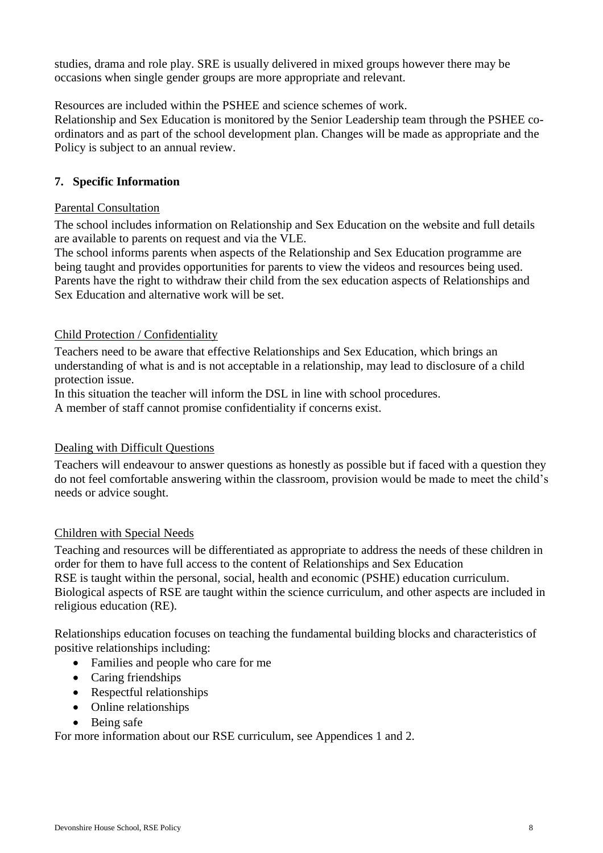studies, drama and role play. SRE is usually delivered in mixed groups however there may be occasions when single gender groups are more appropriate and relevant.

Resources are included within the PSHEE and science schemes of work.

Relationship and Sex Education is monitored by the Senior Leadership team through the PSHEE coordinators and as part of the school development plan. Changes will be made as appropriate and the Policy is subject to an annual review.

# <span id="page-7-0"></span>**7. Specific Information**

# <span id="page-7-1"></span>Parental Consultation

The school includes information on Relationship and Sex Education on the website and full details are available to parents on request and via the VLE.

The school informs parents when aspects of the Relationship and Sex Education programme are being taught and provides opportunities for parents to view the videos and resources being used. Parents have the right to withdraw their child from the sex education aspects of Relationships and Sex Education and alternative work will be set.

# <span id="page-7-2"></span>Child Protection / Confidentiality

Teachers need to be aware that effective Relationships and Sex Education, which brings an understanding of what is and is not acceptable in a relationship, may lead to disclosure of a child protection issue.

In this situation the teacher will inform the DSL in line with school procedures.

A member of staff cannot promise confidentiality if concerns exist.

# <span id="page-7-3"></span>Dealing with Difficult Questions

Teachers will endeavour to answer questions as honestly as possible but if faced with a question they do not feel comfortable answering within the classroom, provision would be made to meet the child's needs or advice sought.

# <span id="page-7-4"></span>Children with Special Needs

Teaching and resources will be differentiated as appropriate to address the needs of these children in order for them to have full access to the content of Relationships and Sex Education RSE is taught within the personal, social, health and economic (PSHE) education curriculum. Biological aspects of RSE are taught within the science curriculum, and other aspects are included in religious education (RE).

Relationships education focuses on teaching the fundamental building blocks and characteristics of positive relationships including:

- Families and people who care for me
- Caring friendships
- Respectful relationships
- Online relationships
- Being safe

For more information about our RSE curriculum, see Appendices 1 and 2.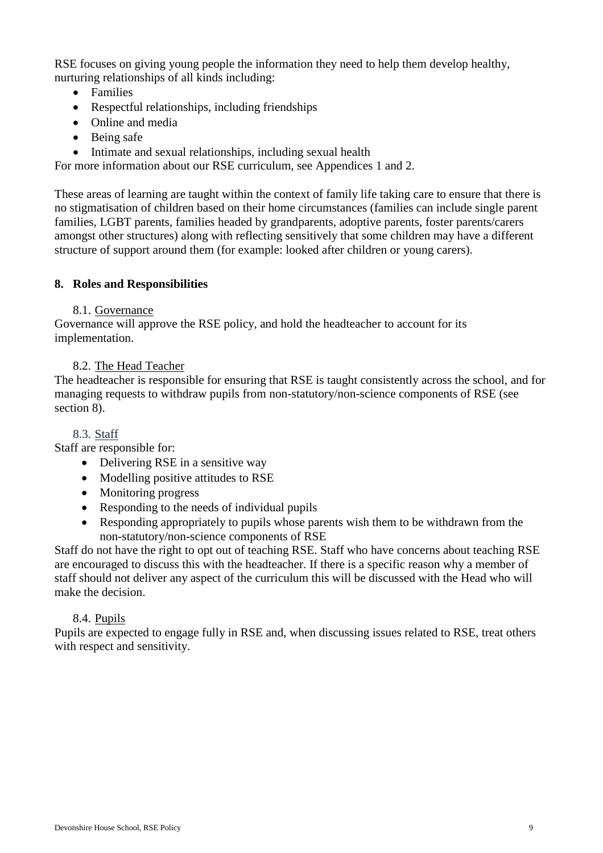RSE focuses on giving young people the information they need to help them develop healthy, nurturing relationships of all kinds including:

- Families
- Respectful relationships, including friendships
- Online and media
- Being safe
- Intimate and sexual relationships, including sexual health

For more information about our RSE curriculum, see Appendices 1 and 2.

These areas of learning are taught within the context of family life taking care to ensure that there is no stigmatisation of children based on their home circumstances (families can include single parent families, LGBT parents, families headed by grandparents, adoptive parents, foster parents/carers amongst other structures) along with reflecting sensitively that some children may have a different structure of support around them (for example: looked after children or young carers).

### <span id="page-8-0"></span>**8. Roles and Responsibilities**

### 8.1. Governance

Governance will approve the RSE policy, and hold the headteacher to account for its implementation.

## 8.2. The Head Teacher

The headteacher is responsible for ensuring that RSE is taught consistently across the school, and for managing requests to withdraw pupils from non-statutory/non-science components of RSE (see section 8).

## 8.3. Staff

Staff are responsible for:

- Delivering RSE in a sensitive way
- Modelling positive attitudes to RSE
- Monitoring progress
- Responding to the needs of individual pupils
- Responding appropriately to pupils whose parents wish them to be withdrawn from the non-statutory/non-science components of RSE

Staff do not have the right to opt out of teaching RSE. Staff who have concerns about teaching RSE are encouraged to discuss this with the headteacher. If there is a specific reason why a member of staff should not deliver any aspect of the curriculum this will be discussed with the Head who will make the decision.

#### 8.4. Pupils

Pupils are expected to engage fully in RSE and, when discussing issues related to RSE, treat others with respect and sensitivity.